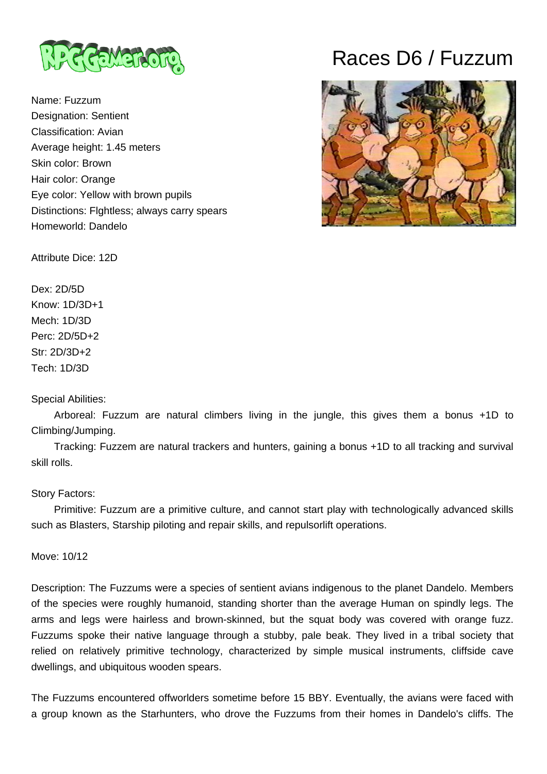

Name: Fuzzum Designation: Sentient Classification: Avian Average height: 1.45 meters Skin color: Brown Hair color: Orange Eye color: Yellow with brown pupils Distinctions: Flghtless; always carry spears Homeworld: Dandelo

# Races D6 / Fuzzum



Attribute Dice: 12D

Dex: 2D/5D Know: 1D/3D+1 Mech: 1D/3D Perc: 2D/5D+2 Str: 2D/3D+2 Tech: 1D/3D

## Special Abilities:

 Arboreal: Fuzzum are natural climbers living in the jungle, this gives them a bonus +1D to Climbing/Jumping.

 Tracking: Fuzzem are natural trackers and hunters, gaining a bonus +1D to all tracking and survival skill rolls.

# Story Factors:

 Primitive: Fuzzum are a primitive culture, and cannot start play with technologically advanced skills such as Blasters, Starship piloting and repair skills, and repulsorlift operations.

Move: 10/12

Description: The Fuzzums were a species of sentient avians indigenous to the planet Dandelo. Members of the species were roughly humanoid, standing shorter than the average Human on spindly legs. The arms and legs were hairless and brown-skinned, but the squat body was covered with orange fuzz. Fuzzums spoke their native language through a stubby, pale beak. They lived in a tribal society that relied on relatively primitive technology, characterized by simple musical instruments, cliffside cave dwellings, and ubiquitous wooden spears.

The Fuzzums encountered offworlders sometime before 15 BBY. Eventually, the avians were faced with a group known as the Starhunters, who drove the Fuzzums from their homes in Dandelo's cliffs. The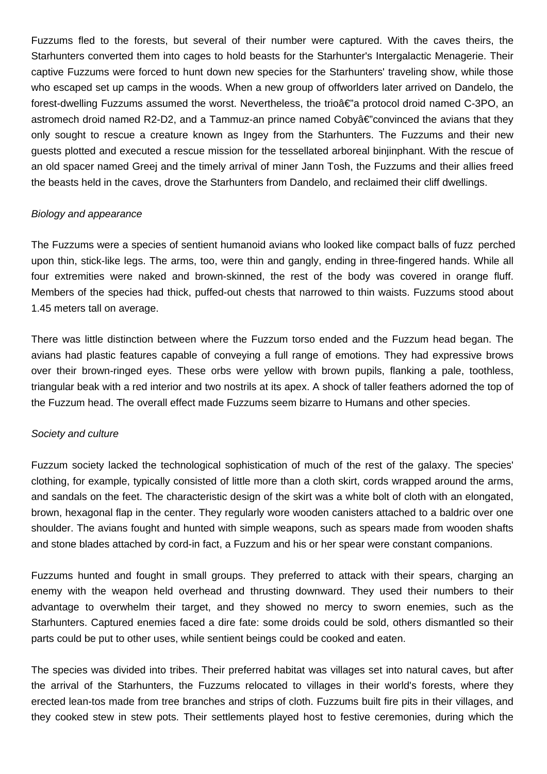Fuzzums fled to the forests, but several of their number were captured. With the caves theirs, the Starhunters converted them into cages to hold beasts for the Starhunter's Intergalactic Menagerie. Their captive Fuzzums were forced to hunt down new species for the Starhunters' traveling show, while those who escaped set up camps in the woods. When a new group of offworlders later arrived on Dandelo, the forest-dwelling Fuzzums assumed the worst. Nevertheless, the trioâ€"a protocol droid named C-3PO, an astromech droid named R2-D2, and a Tammuz-an prince named Coby $\hat{\alpha} \in \hat{\mathcal{L}}$  convinced the avians that they only sought to rescue a creature known as Ingey from the Starhunters. The Fuzzums and their new guests plotted and executed a rescue mission for the tessellated arboreal binjinphant. With the rescue of an old spacer named Greej and the timely arrival of miner Jann Tosh, the Fuzzums and their allies freed the beasts held in the caves, drove the Starhunters from Dandelo, and reclaimed their cliff dwellings.

#### Biology and appearance

The Fuzzums were a species of sentient humanoid avians who looked like compact balls of fuzz perched upon thin, stick-like legs. The arms, too, were thin and gangly, ending in three-fingered hands. While all four extremities were naked and brown-skinned, the rest of the body was covered in orange fluff. Members of the species had thick, puffed-out chests that narrowed to thin waists. Fuzzums stood about 1.45 meters tall on average.

There was little distinction between where the Fuzzum torso ended and the Fuzzum head began. The avians had plastic features capable of conveying a full range of emotions. They had expressive brows over their brown-ringed eyes. These orbs were yellow with brown pupils, flanking a pale, toothless, triangular beak with a red interior and two nostrils at its apex. A shock of taller feathers adorned the top of the Fuzzum head. The overall effect made Fuzzums seem bizarre to Humans and other species.

#### Society and culture

Fuzzum society lacked the technological sophistication of much of the rest of the galaxy. The species' clothing, for example, typically consisted of little more than a cloth skirt, cords wrapped around the arms, and sandals on the feet. The characteristic design of the skirt was a white bolt of cloth with an elongated, brown, hexagonal flap in the center. They regularly wore wooden canisters attached to a baldric over one shoulder. The avians fought and hunted with simple weapons, such as spears made from wooden shafts and stone blades attached by cord-in fact, a Fuzzum and his or her spear were constant companions.

Fuzzums hunted and fought in small groups. They preferred to attack with their spears, charging an enemy with the weapon held overhead and thrusting downward. They used their numbers to their advantage to overwhelm their target, and they showed no mercy to sworn enemies, such as the Starhunters. Captured enemies faced a dire fate: some droids could be sold, others dismantled so their parts could be put to other uses, while sentient beings could be cooked and eaten.

The species was divided into tribes. Their preferred habitat was villages set into natural caves, but after the arrival of the Starhunters, the Fuzzums relocated to villages in their world's forests, where they erected lean-tos made from tree branches and strips of cloth. Fuzzums built fire pits in their villages, and they cooked stew in stew pots. Their settlements played host to festive ceremonies, during which the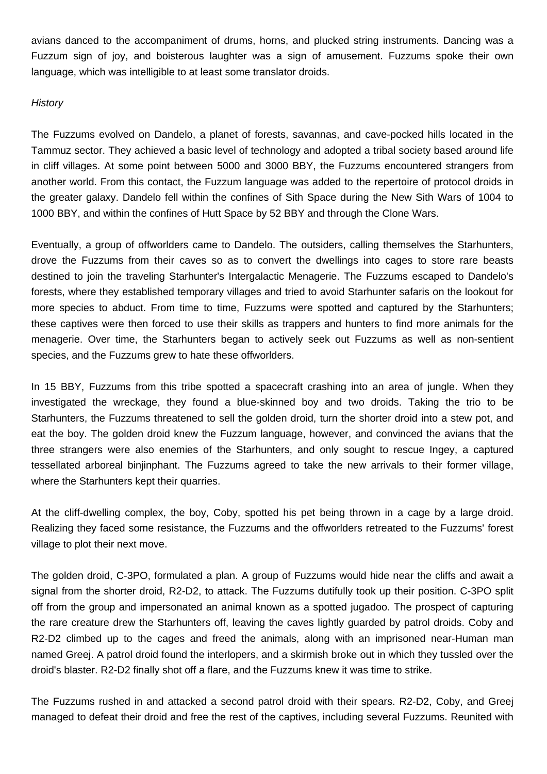avians danced to the accompaniment of drums, horns, and plucked string instruments. Dancing was a Fuzzum sign of joy, and boisterous laughter was a sign of amusement. Fuzzums spoke their own language, which was intelligible to at least some translator droids.

### **History**

The Fuzzums evolved on Dandelo, a planet of forests, savannas, and cave-pocked hills located in the Tammuz sector. They achieved a basic level of technology and adopted a tribal society based around life in cliff villages. At some point between 5000 and 3000 BBY, the Fuzzums encountered strangers from another world. From this contact, the Fuzzum language was added to the repertoire of protocol droids in the greater galaxy. Dandelo fell within the confines of Sith Space during the New Sith Wars of 1004 to 1000 BBY, and within the confines of Hutt Space by 52 BBY and through the Clone Wars.

Eventually, a group of offworlders came to Dandelo. The outsiders, calling themselves the Starhunters, drove the Fuzzums from their caves so as to convert the dwellings into cages to store rare beasts destined to join the traveling Starhunter's Intergalactic Menagerie. The Fuzzums escaped to Dandelo's forests, where they established temporary villages and tried to avoid Starhunter safaris on the lookout for more species to abduct. From time to time, Fuzzums were spotted and captured by the Starhunters; these captives were then forced to use their skills as trappers and hunters to find more animals for the menagerie. Over time, the Starhunters began to actively seek out Fuzzums as well as non-sentient species, and the Fuzzums grew to hate these offworlders.

In 15 BBY. Fuzzums from this tribe spotted a spacecraft crashing into an area of jungle. When they investigated the wreckage, they found a blue-skinned boy and two droids. Taking the trio to be Starhunters, the Fuzzums threatened to sell the golden droid, turn the shorter droid into a stew pot, and eat the boy. The golden droid knew the Fuzzum language, however, and convinced the avians that the three strangers were also enemies of the Starhunters, and only sought to rescue Ingey, a captured tessellated arboreal binjinphant. The Fuzzums agreed to take the new arrivals to their former village, where the Starhunters kept their quarries.

At the cliff-dwelling complex, the boy, Coby, spotted his pet being thrown in a cage by a large droid. Realizing they faced some resistance, the Fuzzums and the offworlders retreated to the Fuzzums' forest village to plot their next move.

The golden droid, C-3PO, formulated a plan. A group of Fuzzums would hide near the cliffs and await a signal from the shorter droid, R2-D2, to attack. The Fuzzums dutifully took up their position. C-3PO split off from the group and impersonated an animal known as a spotted jugadoo. The prospect of capturing the rare creature drew the Starhunters off, leaving the caves lightly guarded by patrol droids. Coby and R2-D2 climbed up to the cages and freed the animals, along with an imprisoned near-Human man named Greej. A patrol droid found the interlopers, and a skirmish broke out in which they tussled over the droid's blaster. R2-D2 finally shot off a flare, and the Fuzzums knew it was time to strike.

The Fuzzums rushed in and attacked a second patrol droid with their spears. R2-D2, Coby, and Greej managed to defeat their droid and free the rest of the captives, including several Fuzzums. Reunited with